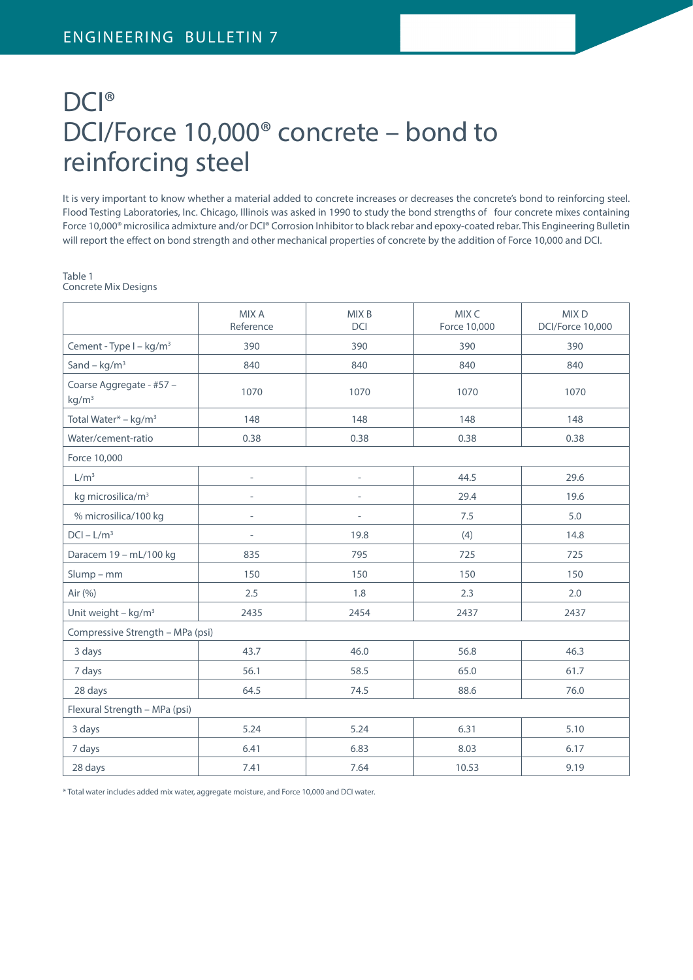# DCI® DCI/Force 10,000® concrete – bond to reinforcing steel

It is very important to know whether a material added to concrete increases or decreases the concrete's bond to reinforcing steel. Flood Testing Laboratories, Inc. Chicago, Illinois was asked in 1990 to study the bond strengths of four concrete mixes containing Force 10,000® microsilica admixture and/or DCI® Corrosion Inhibitor to black rebar and epoxy-coated rebar. This Engineering Bulletin will report the effect on bond strength and other mechanical properties of concrete by the addition of Force 10,000 and DCI.

#### Table 1 Concrete Mix Designs

|                                               | MIX A<br>Reference       | MIX <sub>B</sub><br><b>DCI</b> | MIX C<br>Force 10,000 | MIX <sub>D</sub><br>DCI/Force 10,000 |  |  |  |  |  |
|-----------------------------------------------|--------------------------|--------------------------------|-----------------------|--------------------------------------|--|--|--|--|--|
| Cement - Type $I - kg/m3$                     | 390                      | 390                            | 390                   | 390                                  |  |  |  |  |  |
| Sand – $kg/m3$                                | 840                      | 840                            | 840                   | 840                                  |  |  |  |  |  |
| Coarse Aggregate - #57 -<br>kg/m <sup>3</sup> | 1070                     | 1070                           | 1070                  | 1070                                 |  |  |  |  |  |
| Total Water* - kg/m <sup>3</sup>              | 148                      | 148                            | 148                   | 148                                  |  |  |  |  |  |
| Water/cement-ratio                            | 0.38                     | 0.38                           | 0.38                  | 0.38                                 |  |  |  |  |  |
| Force 10,000                                  |                          |                                |                       |                                      |  |  |  |  |  |
| L/m <sup>3</sup>                              | $\overline{\phantom{a}}$ | $\overline{\phantom{0}}$       | 44.5                  | 29.6                                 |  |  |  |  |  |
| kg microsilica/m <sup>3</sup>                 | $\overline{\phantom{a}}$ | $\frac{1}{2}$                  | 29.4                  | 19.6                                 |  |  |  |  |  |
| % microsilica/100 kg                          | $\overline{\phantom{a}}$ | $\overline{\phantom{0}}$       | 7.5                   | 5.0                                  |  |  |  |  |  |
| $DCl - L/m3$                                  | $\overline{\phantom{a}}$ | 19.8                           | (4)                   | 14.8                                 |  |  |  |  |  |
| Daracem 19 - mL/100 kg                        | 835                      | 795                            | 725                   | 725                                  |  |  |  |  |  |
| $Slump - mm$                                  | 150                      | 150                            | 150                   | 150                                  |  |  |  |  |  |
| Air (%)                                       | 2.5                      | 1.8                            | 2.3                   | 2.0                                  |  |  |  |  |  |
| Unit weight - $kg/m3$                         | 2435                     | 2454                           | 2437                  | 2437                                 |  |  |  |  |  |
| Compressive Strength - MPa (psi)              |                          |                                |                       |                                      |  |  |  |  |  |
| 3 days                                        | 43.7                     | 46.0                           | 56.8                  | 46.3                                 |  |  |  |  |  |
| 7 days                                        | 56.1                     | 58.5                           | 65.0                  | 61.7                                 |  |  |  |  |  |
| 28 days                                       | 64.5                     | 74.5                           | 88.6                  | 76.0                                 |  |  |  |  |  |
| Flexural Strength - MPa (psi)                 |                          |                                |                       |                                      |  |  |  |  |  |
| 3 days                                        | 5.24                     | 5.24                           | 6.31                  | 5.10                                 |  |  |  |  |  |
| 7 days                                        | 6.41                     | 6.83                           | 8.03                  | 6.17                                 |  |  |  |  |  |
| 28 days                                       | 7.41                     | 7.64                           | 10.53                 | 9.19                                 |  |  |  |  |  |

\* Total water includes added mix water, aggregate moisture, and Force 10,000 and DCI water.